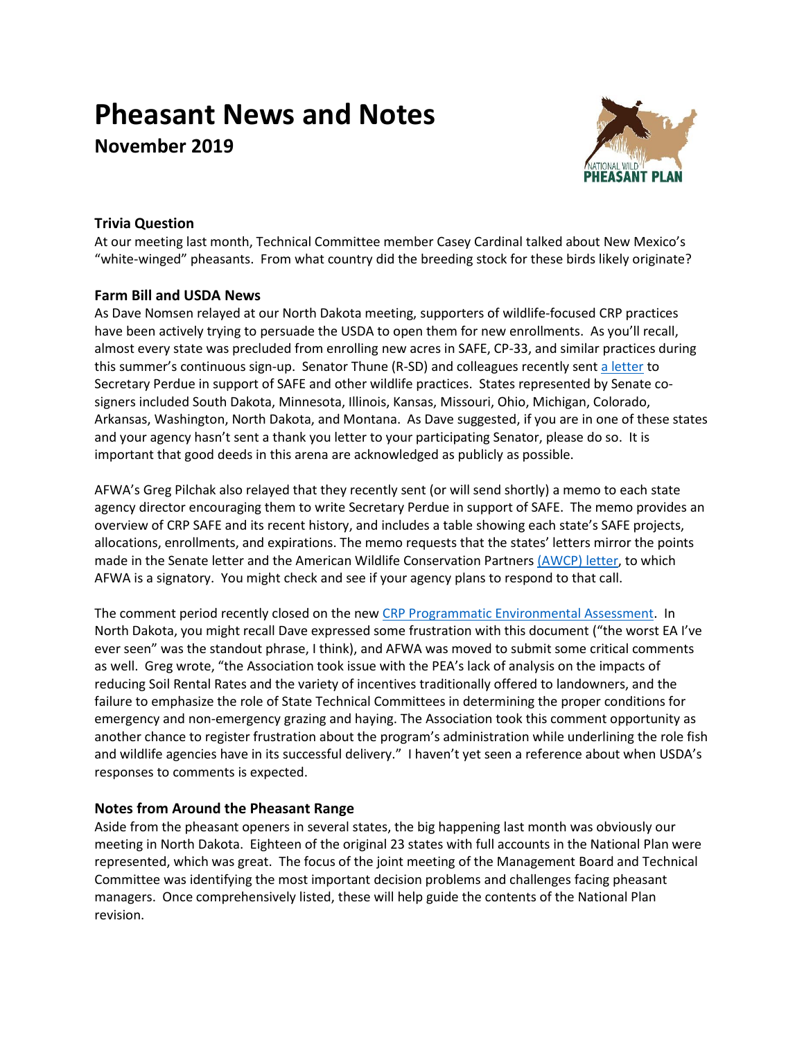# **Pheasant News and Notes November 2019**



## **Trivia Question**

At our meeting last month, Technical Committee member Casey Cardinal talked about New Mexico's "white-winged" pheasants. From what country did the breeding stock for these birds likely originate?

## **Farm Bill and USDA News**

As Dave Nomsen relayed at our North Dakota meeting, supporters of wildlife-focused CRP practices have been actively trying to persuade the USDA to open them for new enrollments. As you'll recall, almost every state was precluded from enrolling new acres in SAFE, CP-33, and similar practices during this summer's continuous sign-up. Senator Thune (R-SD) and colleagues recently sent [a letter](https://www.thune.senate.gov/public/_cache/files/085aee3f-87ac-4230-a0cb-be309e2f72e9/4C455A3F5AD46641B2BFA81FC7238924.10.17.2019-letter-to-secretary-perdue-re-crp-safe.pdf) to Secretary Perdue in support of SAFE and other wildlife practices. States represented by Senate cosigners included South Dakota, Minnesota, Illinois, Kansas, Missouri, Ohio, Michigan, Colorado, Arkansas, Washington, North Dakota, and Montana. As Dave suggested, if you are in one of these states and your agency hasn't sent a thank you letter to your participating Senator, please do so. It is important that good deeds in this arena are acknowledged as publicly as possible.

AFWA's Greg Pilchak also relayed that they recently sent (or will send shortly) a memo to each state agency director encouraging them to write Secretary Perdue in support of SAFE. The memo provides an overview of CRP SAFE and its recent history, and includes a table showing each state's SAFE projects, allocations, enrollments, and expirations. The memo requests that the states' letters mirror the points made in the Senate letter and the American Wildlife Conservation Partners [\(AWCP\) letter,](https://drive.google.com/file/d/13VSAqlspVSR9dVMJykysCqZrrM8NEFWo/view) to which AFWA is a signatory. You might check and see if your agency plans to respond to that call.

The comment period recently closed on the new [CRP Programmatic Environmental Assessment.](https://www.fsa.usda.gov/news-room/news-releases/2019/usda-seeking-comments-on-conservation-reserve-program-environmental-assessment?utm_medium=email&utm_source=govdelivery) In North Dakota, you might recall Dave expressed some frustration with this document ("the worst EA I've ever seen" was the standout phrase, I think), and AFWA was moved to submit some critical comments as well. Greg wrote, "the Association took issue with the PEA's lack of analysis on the impacts of reducing Soil Rental Rates and the variety of incentives traditionally offered to landowners, and the failure to emphasize the role of State Technical Committees in determining the proper conditions for emergency and non-emergency grazing and haying. The Association took this comment opportunity as another chance to register frustration about the program's administration while underlining the role fish and wildlife agencies have in its successful delivery." I haven't yet seen a reference about when USDA's responses to comments is expected.

## **Notes from Around the Pheasant Range**

Aside from the pheasant openers in several states, the big happening last month was obviously our meeting in North Dakota. Eighteen of the original 23 states with full accounts in the National Plan were represented, which was great. The focus of the joint meeting of the Management Board and Technical Committee was identifying the most important decision problems and challenges facing pheasant managers. Once comprehensively listed, these will help guide the contents of the National Plan revision.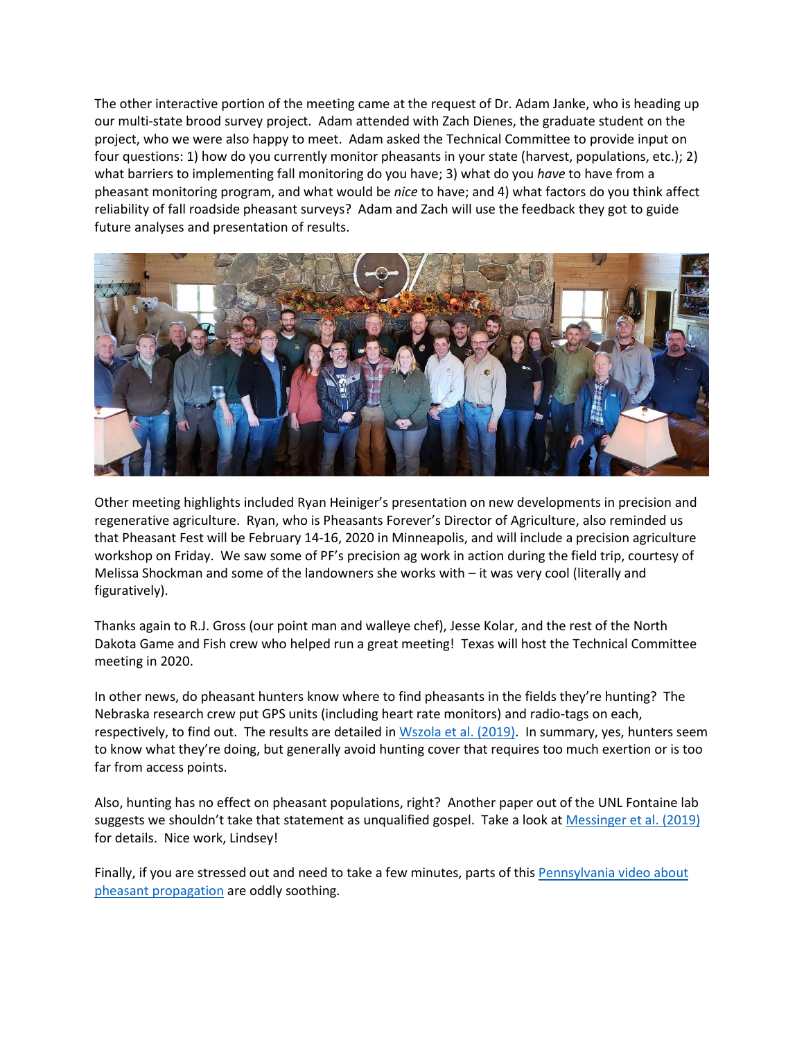The other interactive portion of the meeting came at the request of Dr. Adam Janke, who is heading up our multi-state brood survey project. Adam attended with Zach Dienes, the graduate student on the project, who we were also happy to meet. Adam asked the Technical Committee to provide input on four questions: 1) how do you currently monitor pheasants in your state (harvest, populations, etc.); 2) what barriers to implementing fall monitoring do you have; 3) what do you *have* to have from a pheasant monitoring program, and what would be *nice* to have; and 4) what factors do you think affect reliability of fall roadside pheasant surveys? Adam and Zach will use the feedback they got to guide future analyses and presentation of results.



Other meeting highlights included Ryan Heiniger's presentation on new developments in precision and regenerative agriculture. Ryan, who is Pheasants Forever's Director of Agriculture, also reminded us that Pheasant Fest will be February 14-16, 2020 in Minneapolis, and will include a precision agriculture workshop on Friday. We saw some of PF's precision ag work in action during the field trip, courtesy of Melissa Shockman and some of the landowners she works with – it was very cool (literally and figuratively).

Thanks again to R.J. Gross (our point man and walleye chef), Jesse Kolar, and the rest of the North Dakota Game and Fish crew who helped run a great meeting! Texas will host the Technical Committee meeting in 2020.

In other news, do pheasant hunters know where to find pheasants in the fields they're hunting? The Nebraska research crew put GPS units (including heart rate monitors) and radio-tags on each, respectively, to find out. The results are detailed in [Wszola et al.](https://doi.org/10.2981/wlb.00526) (2019). In summary, yes, hunters seem to know what they're doing, but generally avoid hunting cover that requires too much exertion or is too far from access points.

Also, hunting has no effect on pheasant populations, right? Another paper out of the UNL Fontaine lab suggests we shouldn't take that statement as unqualified gospel. Take a look at [Messinger et al. \(2019\)](https://doi.org/10.1371/journal.pone.0222272) for details. Nice work, Lindsey!

Finally, if you are stressed out and need to take a few minutes, parts of this [Pennsylvania video about](https://www.youtube.com/watch?v=stJI_g1N6lY)  [pheasant propagation](https://www.youtube.com/watch?v=stJI_g1N6lY) are oddly soothing.